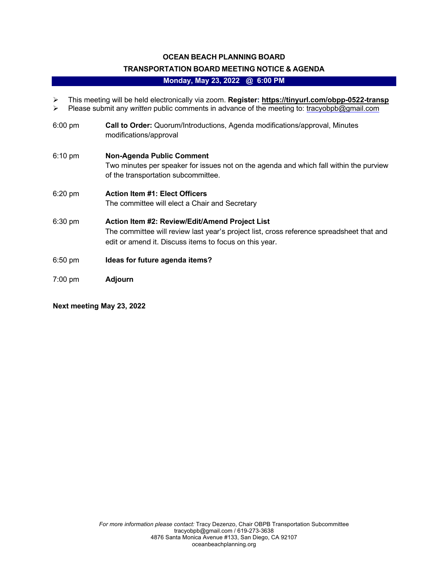## **OCEAN BEACH PLANNING BOARD**

# **TRANSPORTATION BOARD MEETING NOTICE & AGENDA**

#### **Monday, May 23, 2022 @ 6:00 PM**

- Ø This meeting will be held electronically via zoom. **Register: https://tinyurl.com/obpp-0522-transp**
- Ø Please submit any *written* public comments in advance of the meeting to: tracyobpb@gmail.com
- 6:00 pm **Call to Order:** Quorum/Introductions, Agenda modifications/approval, Minutes modifications/approval
- 6:10 pm **Non-Agenda Public Comment**  Two minutes per speaker for issues not on the agenda and which fall within the purview of the transportation subcommittee.
- 6:20 pm **Action Item #1: Elect Officers**  The committee will elect a Chair and Secretary
- 6:30 pm **Action Item #2: Review/Edit/Amend Project List**  The committee will review last year's project list, cross reference spreadsheet that and edit or amend it. Discuss items to focus on this year.
- 6:50 pm **Ideas for future agenda items?**
- 7:00 pm **Adjourn**

**Next meeting May 23, 2022**